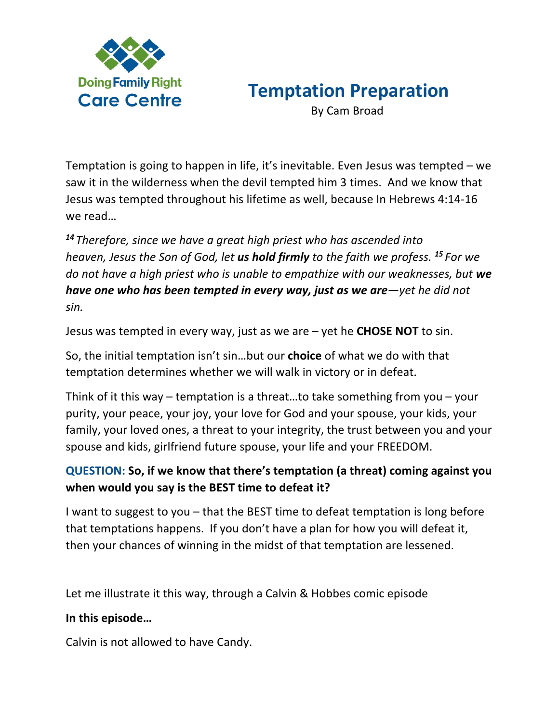

## **Temptation Preparation**

By Cam Broad

Temptation is going to happen in life, it's inevitable. Even Jesus was tempted – we saw it in the wilderness when the devil tempted him 3 times. And we know that Jesus was tempted throughout his lifetime as well, because In Hebrews 4:14-16 we read…

*<sup>14</sup> Therefore, since we have a great high priest who has ascended into heaven, Jesus the Son of God, let us hold firmly to the faith we profess. <sup>15</sup> For we do not have a high priest who is unable to empathize with our weaknesses, but we have one who has been tempted in every way, just as we are—yet he did not sin.*

Jesus was tempted in every way, just as we are – yet he **CHOSE NOT** to sin.

So, the initial temptation isn't sin…but our **choice** of what we do with that temptation determines whether we will walk in victory or in defeat.

Think of it this way – temptation is a threat…to take something from you – your purity, your peace, your joy, your love for God and your spouse, your kids, your family, your loved ones, a threat to your integrity, the trust between you and your spouse and kids, girlfriend future spouse, your life and your FREEDOM.

## **QUESTION: So, if we know that there's temptation (a threat) coming against you when would you say is the BEST time to defeat it?**

I want to suggest to you – that the BEST time to defeat temptation is long before that temptations happens. If you don't have a plan for how you will defeat it, then your chances of winning in the midst of that temptation are lessened.

Let me illustrate it this way, through a Calvin & Hobbes comic episode

## **In this episode…**

Calvin is not allowed to have Candy.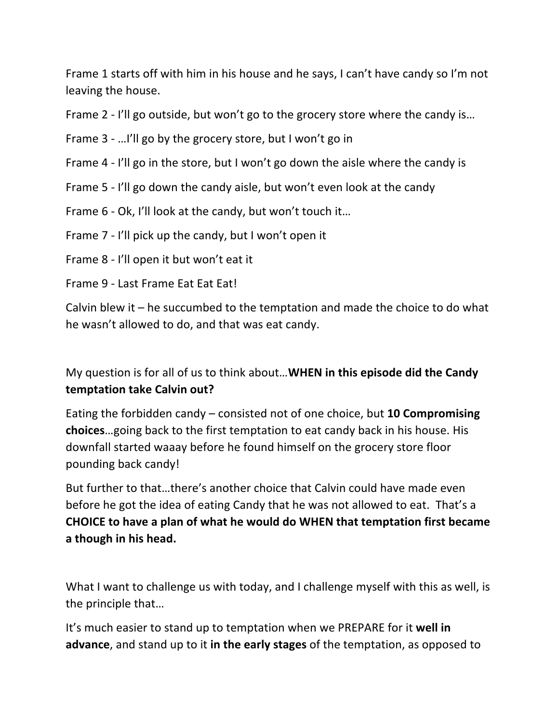Frame 1 starts off with him in his house and he says, I can't have candy so I'm not leaving the house.

Frame 2 - I'll go outside, but won't go to the grocery store where the candy is…

Frame 3 - …I'll go by the grocery store, but I won't go in

Frame 4 - I'll go in the store, but I won't go down the aisle where the candy is

Frame 5 - I'll go down the candy aisle, but won't even look at the candy

Frame 6 - Ok, I'll look at the candy, but won't touch it…

Frame 7 - I'll pick up the candy, but I won't open it

Frame 8 - I'll open it but won't eat it

Frame 9 - Last Frame Eat Eat Eat!

Calvin blew it – he succumbed to the temptation and made the choice to do what he wasn't allowed to do, and that was eat candy.

My question is for all of us to think about…**WHEN in this episode did the Candy temptation take Calvin out?** 

Eating the forbidden candy – consisted not of one choice, but **10 Compromising choices**…going back to the first temptation to eat candy back in his house. His downfall started waaay before he found himself on the grocery store floor pounding back candy!

But further to that…there's another choice that Calvin could have made even before he got the idea of eating Candy that he was not allowed to eat. That's a **CHOICE to have a plan of what he would do WHEN that temptation first became a though in his head.** 

What I want to challenge us with today, and I challenge myself with this as well, is the principle that…

It's much easier to stand up to temptation when we PREPARE for it **well in advance**, and stand up to it **in the early stages** of the temptation, as opposed to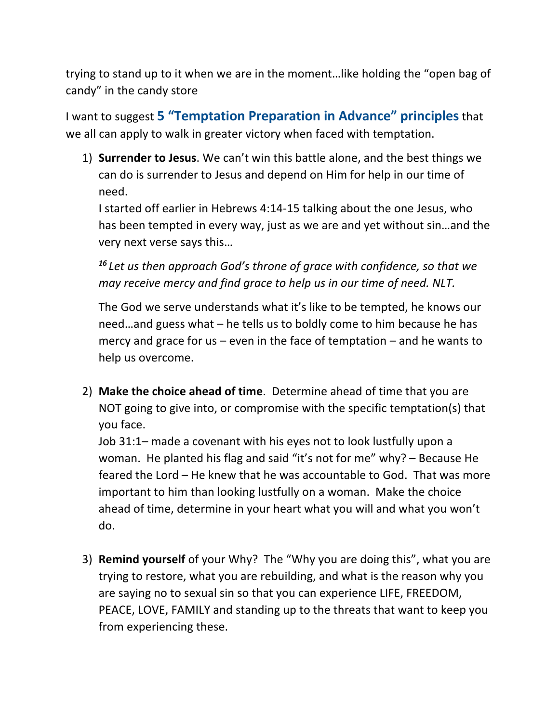trying to stand up to it when we are in the moment…like holding the "open bag of candy" in the candy store

I want to suggest **5 "Temptation Preparation in Advance" principles**that we all can apply to walk in greater victory when faced with temptation.

1) **Surrender to Jesus**. We can't win this battle alone, and the best things we can do is surrender to Jesus and depend on Him for help in our time of need.

I started off earlier in Hebrews 4:14-15 talking about the one Jesus, who has been tempted in every way, just as we are and yet without sin…and the very next verse says this…

*<sup>16</sup> Let us then approach God's throne of grace with confidence, so that we may receive mercy and find grace to help us in our time of need. NLT.*

The God we serve understands what it's like to be tempted, he knows our need…and guess what – he tells us to boldly come to him because he has mercy and grace for us  $-$  even in the face of temptation  $-$  and he wants to help us overcome.

2) **Make the choice ahead of time**. Determine ahead of time that you are NOT going to give into, or compromise with the specific temptation(s) that you face.

Job 31:1– made a covenant with his eyes not to look lustfully upon a woman. He planted his flag and said "it's not for me" why? – Because He feared the Lord – He knew that he was accountable to God. That was more important to him than looking lustfully on a woman. Make the choice ahead of time, determine in your heart what you will and what you won't do.

3) **Remind yourself** of your Why? The "Why you are doing this", what you are trying to restore, what you are rebuilding, and what is the reason why you are saying no to sexual sin so that you can experience LIFE, FREEDOM, PEACE, LOVE, FAMILY and standing up to the threats that want to keep you from experiencing these.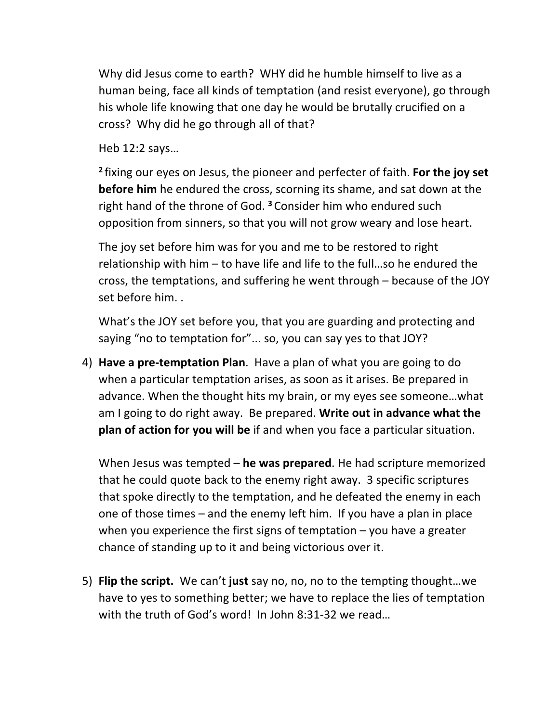Why did Jesus come to earth? WHY did he humble himself to live as a human being, face all kinds of temptation (and resist everyone), go through his whole life knowing that one day he would be brutally crucified on a cross? Why did he go through all of that?

Heb 12:2 says…

**<sup>2</sup>** fixing our eyes on Jesus, the pioneer and perfecter of faith. **For the joy set before him** he endured the cross, scorning its shame, and sat down at the right hand of the throne of God. **<sup>3</sup>** Consider him who endured such opposition from sinners, so that you will not grow weary and lose heart.

The joy set before him was for you and me to be restored to right relationship with him – to have life and life to the full…so he endured the cross, the temptations, and suffering he went through – because of the JOY set before him. .

What's the JOY set before you, that you are guarding and protecting and saying "no to temptation for"... so, you can say yes to that JOY?

4) **Have a pre-temptation Plan**. Have a plan of what you are going to do when a particular temptation arises, as soon as it arises. Be prepared in advance. When the thought hits my brain, or my eyes see someone…what am I going to do right away. Be prepared. **Write out in advance what the plan of action for you will be** if and when you face a particular situation.

When Jesus was tempted – **he was prepared**. He had scripture memorized that he could quote back to the enemy right away. 3 specific scriptures that spoke directly to the temptation, and he defeated the enemy in each one of those times – and the enemy left him. If you have a plan in place when you experience the first signs of temptation  $-$  you have a greater chance of standing up to it and being victorious over it.

5) **Flip the script.** We can't **just** say no, no, no to the tempting thought…we have to yes to something better; we have to replace the lies of temptation with the truth of God's word! In John 8:31-32 we read…